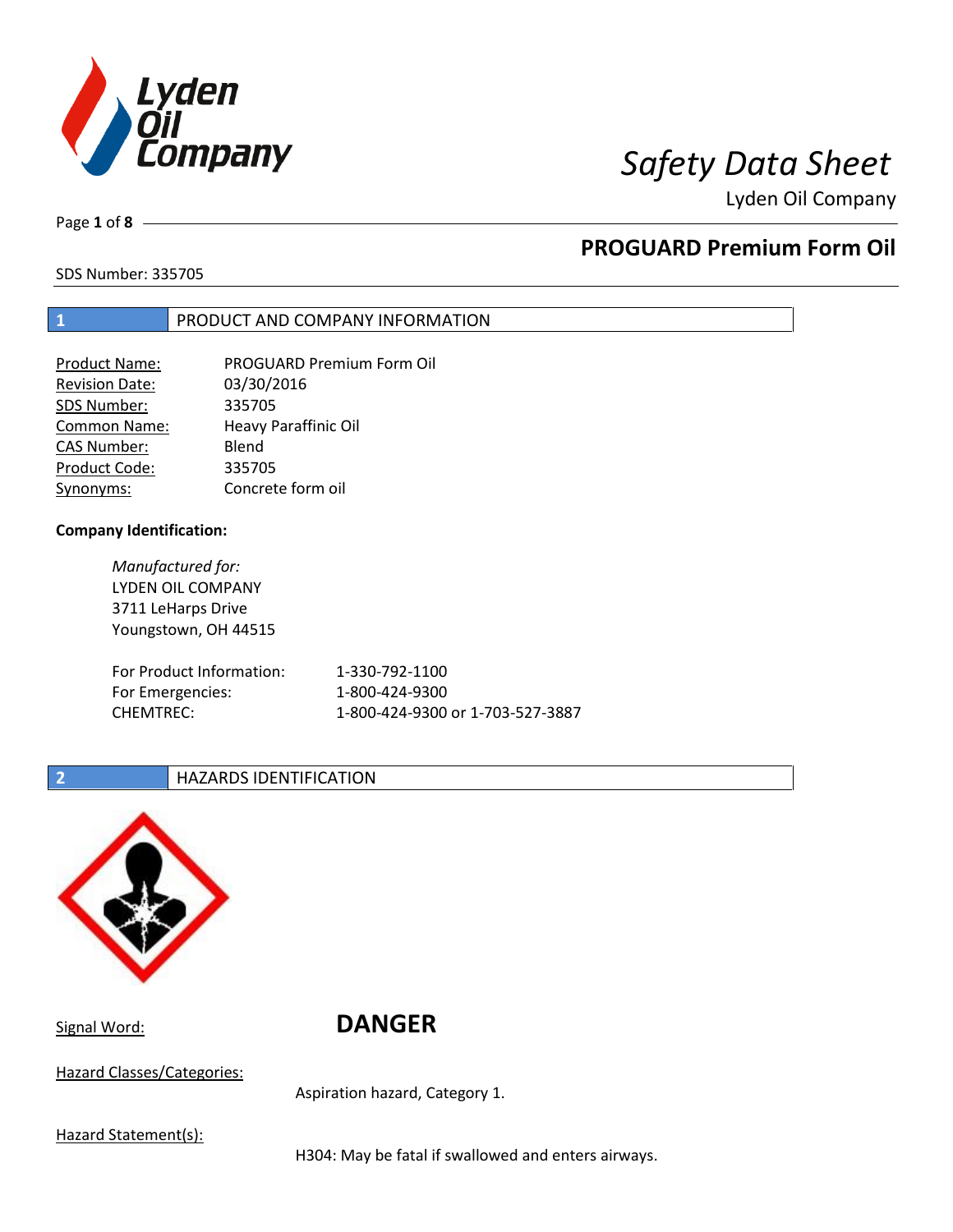

Page **1** of **8**

# **PROGUARD Premium Form Oil**

SDS Number: 335705

### **1** PRODUCT AND COMPANY INFORMATION

| Product Name:         | <b>PROGUARD Premium Form Oil</b> |
|-----------------------|----------------------------------|
| <b>Revision Date:</b> | 03/30/2016                       |
| SDS Number:           | 335705                           |
| <b>Common Name:</b>   | <b>Heavy Paraffinic Oil</b>      |
| <b>CAS Number:</b>    | Blend                            |
| Product Code:         | 335705                           |
| Synonyms:             | Concrete form oil                |

### **Company Identification:**

*Manufactured for:* LYDEN OIL COMPANY 3711 LeHarps Drive Youngstown, OH 44515 For Product Information: 1-330-792-1100 For Emergencies: 1-800-424-9300 CHEMTREC: 1-800-424-9300 or 1-703-527-3887

## **2 HAZARDS IDENTIFICATION**



Signal Word: **DANGER**

Hazard Classes/Categories:

Aspiration hazard, Category 1.

Hazard Statement(s):

H304: May be fatal if swallowed and enters airways.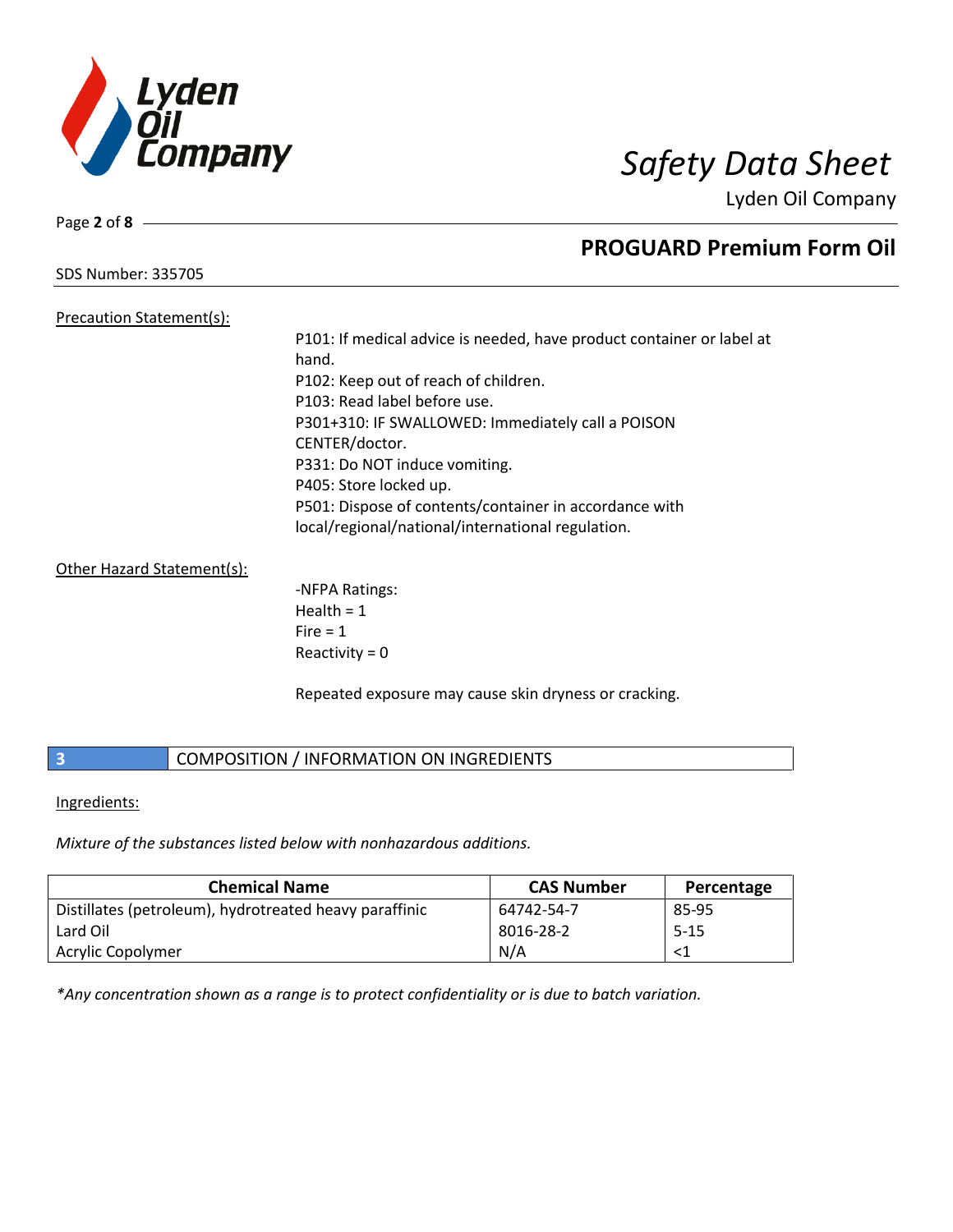

Page **2** of **8**

# **PROGUARD Premium Form Oil**

SDS Number: 335705

Precaution Statement(s):

P101: If medical advice is needed, have product container or label at hand. P102: Keep out of reach of children. P103: Read label before use. P301+310: IF SWALLOWED: Immediately call a POISON CENTER/doctor. P331: Do NOT induce vomiting. P405: Store locked up. P501: Dispose of contents/container in accordance with local/regional/national/international regulation.

Other Hazard Statement(s):

-NFPA Ratings: Health  $= 1$  $Fire = 1$ Reactivity  $= 0$ 

Repeated exposure may cause skin dryness or cracking.

# **3** COMPOSITION / INFORMATION ON INGREDIENTS

Ingredients:

*Mixture of the substances listed below with nonhazardous additions.*

| <b>Chemical Name</b>                                   | <b>CAS Number</b> | Percentage |
|--------------------------------------------------------|-------------------|------------|
| Distillates (petroleum), hydrotreated heavy paraffinic | 64742-54-7        | 85-95      |
| Lard Oil                                               | 8016-28-2         | $5 - 15$   |
| Acrylic Copolymer                                      | N/A               |            |

*\*Any concentration shown as a range is to protect confidentiality or is due to batch variation.*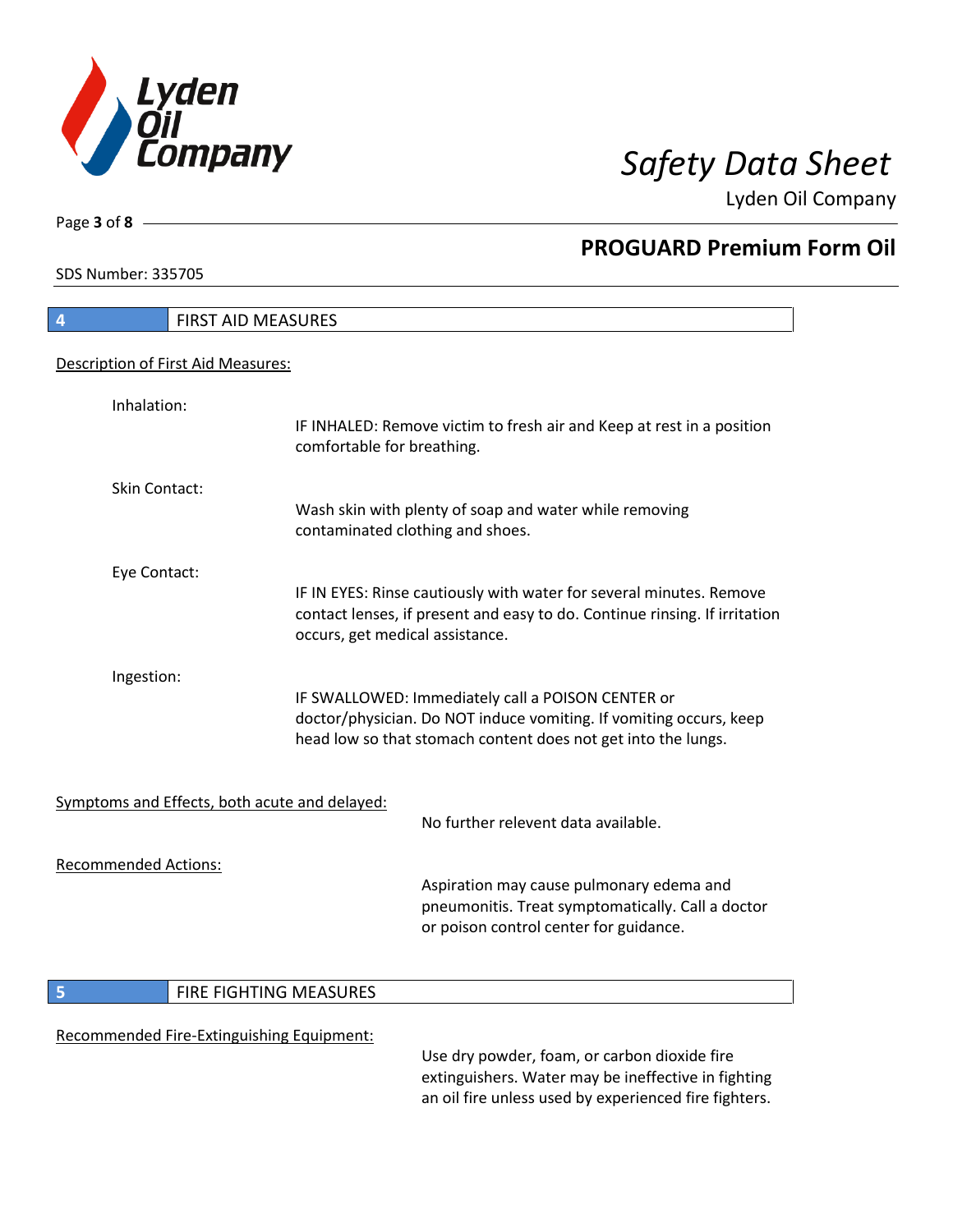

SDS Number: 335705

Page **3** of **8**

# **PROGUARD Premium Form Oil**

| <b>FIRST AID MEASURES</b><br>4                |                                 |                                                                                                                                                                                          |
|-----------------------------------------------|---------------------------------|------------------------------------------------------------------------------------------------------------------------------------------------------------------------------------------|
| Description of First Aid Measures:            |                                 |                                                                                                                                                                                          |
| Inhalation:                                   | comfortable for breathing.      | IF INHALED: Remove victim to fresh air and Keep at rest in a position                                                                                                                    |
| Skin Contact:                                 |                                 | Wash skin with plenty of soap and water while removing<br>contaminated clothing and shoes.                                                                                               |
| Eye Contact:                                  | occurs, get medical assistance. | IF IN EYES: Rinse cautiously with water for several minutes. Remove<br>contact lenses, if present and easy to do. Continue rinsing. If irritation                                        |
| Ingestion:                                    |                                 | IF SWALLOWED: Immediately call a POISON CENTER or<br>doctor/physician. Do NOT induce vomiting. If vomiting occurs, keep<br>head low so that stomach content does not get into the lungs. |
| Symptoms and Effects, both acute and delayed: |                                 | No further relevent data available.                                                                                                                                                      |
| <b>Recommended Actions:</b>                   |                                 | Aspiration may cause pulmonary edema and<br>pneumonitis. Treat symptomatically. Call a doctor<br>or poison control center for guidance.                                                  |
| 5                                             | FIRE FIGHTING MEASURES          |                                                                                                                                                                                          |
| Recommended Fire-Extinguishing Equipment:     |                                 | Use dry powder, foam, or carbon dioxide fire<br>extinguishers. Water may be ineffective in fighting                                                                                      |

an oil fire unless used by experienced fire fighters.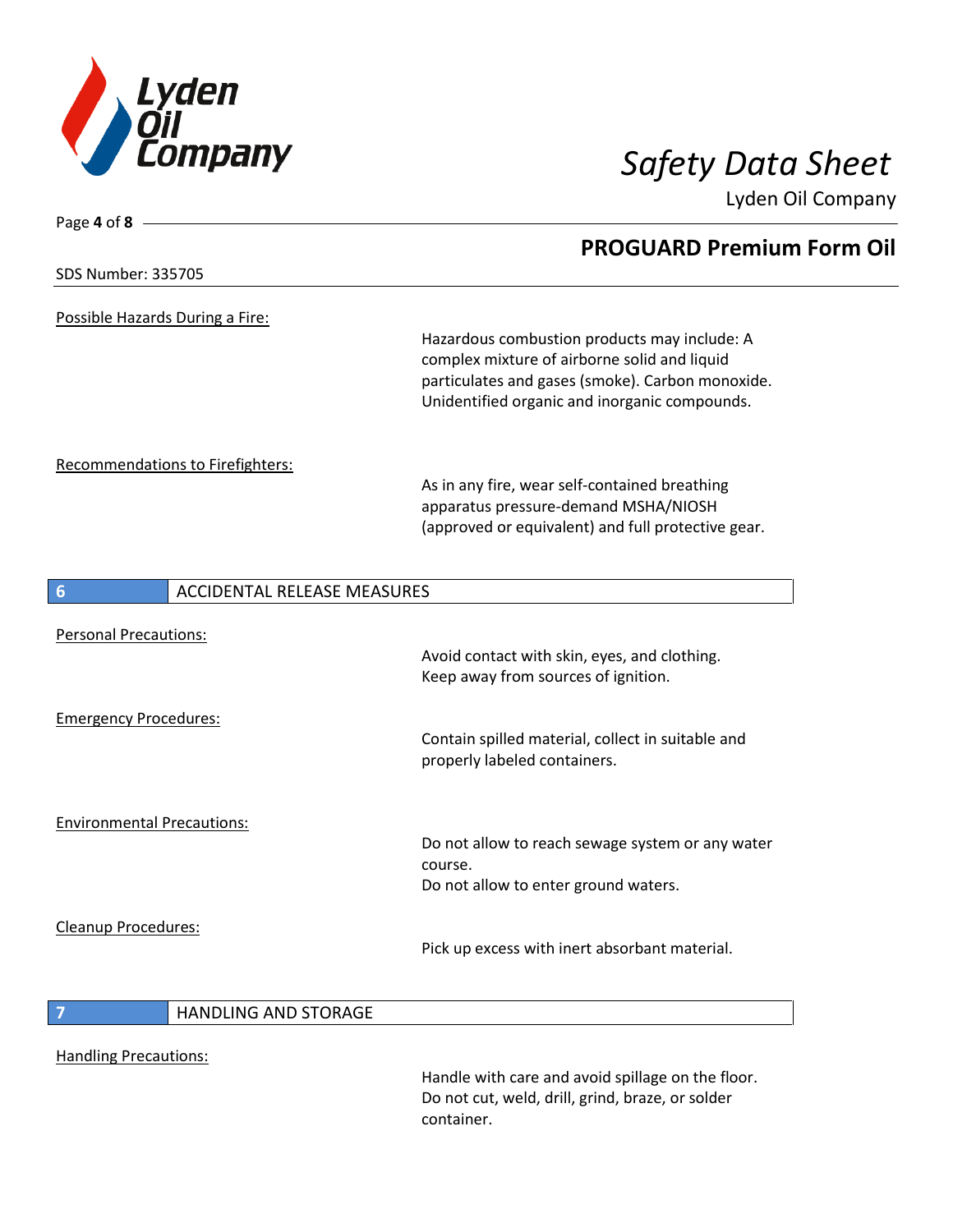

| Page 4 of 8 -                           |                                    |                                                                                                                                                                                                   |  |
|-----------------------------------------|------------------------------------|---------------------------------------------------------------------------------------------------------------------------------------------------------------------------------------------------|--|
|                                         |                                    | <b>PROGUARD Premium Form Oil</b>                                                                                                                                                                  |  |
| <b>SDS Number: 335705</b>               |                                    |                                                                                                                                                                                                   |  |
| Possible Hazards During a Fire:         |                                    |                                                                                                                                                                                                   |  |
|                                         |                                    | Hazardous combustion products may include: A<br>complex mixture of airborne solid and liquid<br>particulates and gases (smoke). Carbon monoxide.<br>Unidentified organic and inorganic compounds. |  |
| <b>Recommendations to Firefighters:</b> |                                    | As in any fire, wear self-contained breathing<br>apparatus pressure-demand MSHA/NIOSH<br>(approved or equivalent) and full protective gear.                                                       |  |
| $6\phantom{1}6$                         | <b>ACCIDENTAL RELEASE MEASURES</b> |                                                                                                                                                                                                   |  |
| <b>Personal Precautions:</b>            |                                    | Avoid contact with skin, eyes, and clothing.<br>Keep away from sources of ignition.                                                                                                               |  |
| <b>Emergency Procedures:</b>            |                                    | Contain spilled material, collect in suitable and<br>properly labeled containers.                                                                                                                 |  |
| <b>Environmental Precautions:</b>       |                                    | Do not allow to reach sewage system or any water<br>course.<br>Do not allow to enter ground waters.                                                                                               |  |
| Cleanup Procedures:                     |                                    | Pick up excess with inert absorbant material.                                                                                                                                                     |  |
| $\overline{7}$                          | <b>HANDLING AND STORAGE</b>        |                                                                                                                                                                                                   |  |
| <b>Handling Precautions:</b>            |                                    | Handle with care and avoid spillage on the floor.<br>Do not cut, weld, drill, grind, braze, or solder<br>container.                                                                               |  |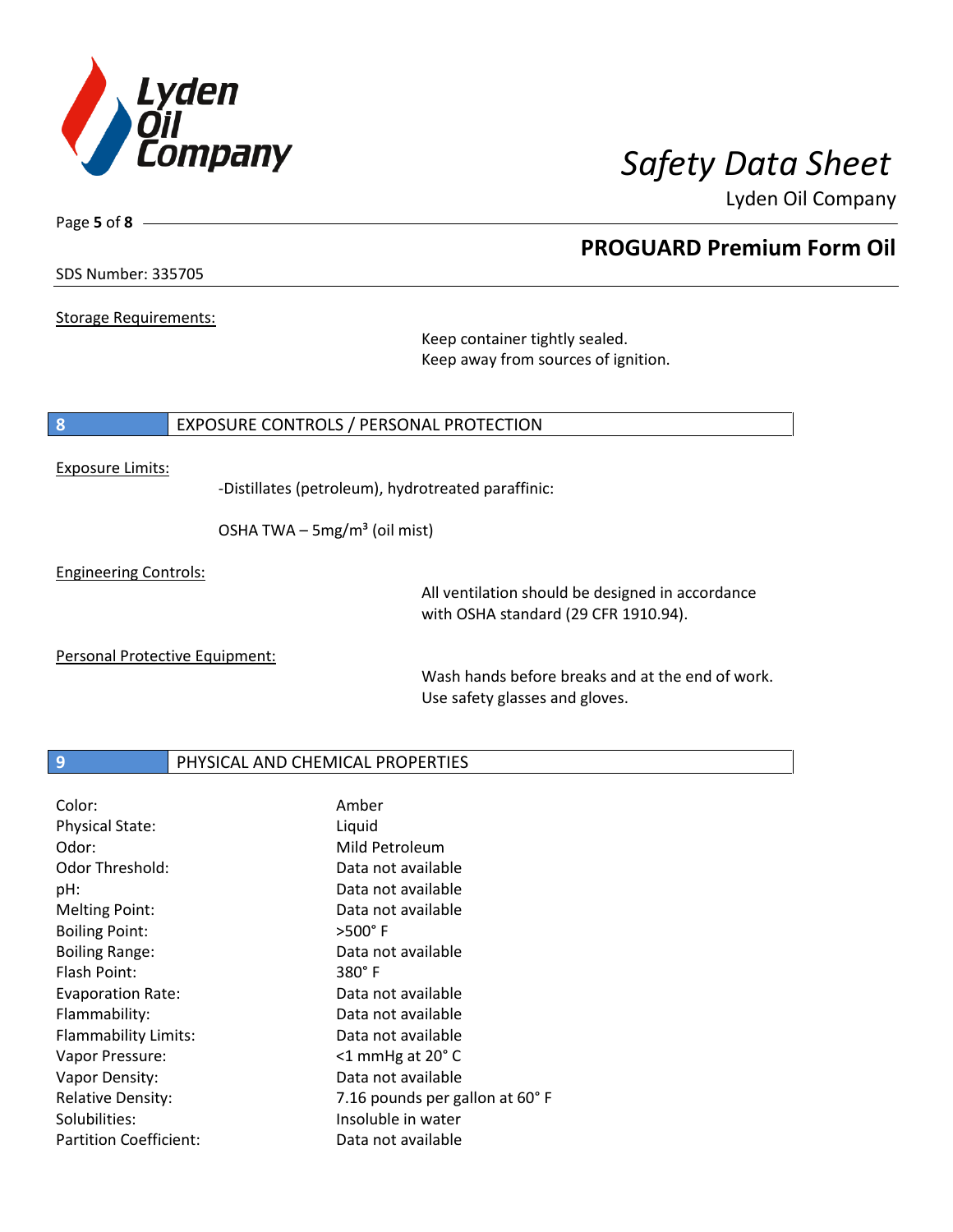

**PROGUARD Premium Form Oil**

Lyden Oil Company

SDS Number: 335705

Page **5** of **8**

Storage Requirements:

Keep container tightly sealed. Keep away from sources of ignition.

### **8** EXPOSURE CONTROLS / PERSONAL PROTECTION

Exposure Limits:

-Distillates (petroleum), hydrotreated paraffinic:

OSHA TWA  $-$  5mg/m<sup>3</sup> (oil mist)

Engineering Controls:

All ventilation should be designed in accordance with OSHA standard (29 CFR 1910.94).

Personal Protective Equipment:

Wash hands before breaks and at the end of work. Use safety glasses and gloves.

## **9 PHYSICAL AND CHEMICAL PROPERTIES**

| Color:                        | Amber                          |
|-------------------------------|--------------------------------|
| <b>Physical State:</b>        | Liquid                         |
| Odor:                         | Mild Petroleum                 |
| Odor Threshold:               | Data not available             |
| pH:                           | Data not available             |
| <b>Melting Point:</b>         | Data not available             |
| <b>Boiling Point:</b>         | $>500^\circ$ F                 |
| <b>Boiling Range:</b>         | Data not available             |
| Flash Point:                  | $380^\circ$ F                  |
| <b>Evaporation Rate:</b>      | Data not available             |
| Flammability:                 | Data not available             |
| Flammability Limits:          | Data not available             |
| Vapor Pressure:               | $<$ 1 mmHg at 20 $^{\circ}$ C  |
| Vapor Density:                | Data not available             |
| <b>Relative Density:</b>      | 7.16 pounds per gallon at 60°F |
| Solubilities:                 | Insoluble in water             |
| <b>Partition Coefficient:</b> | Data not available             |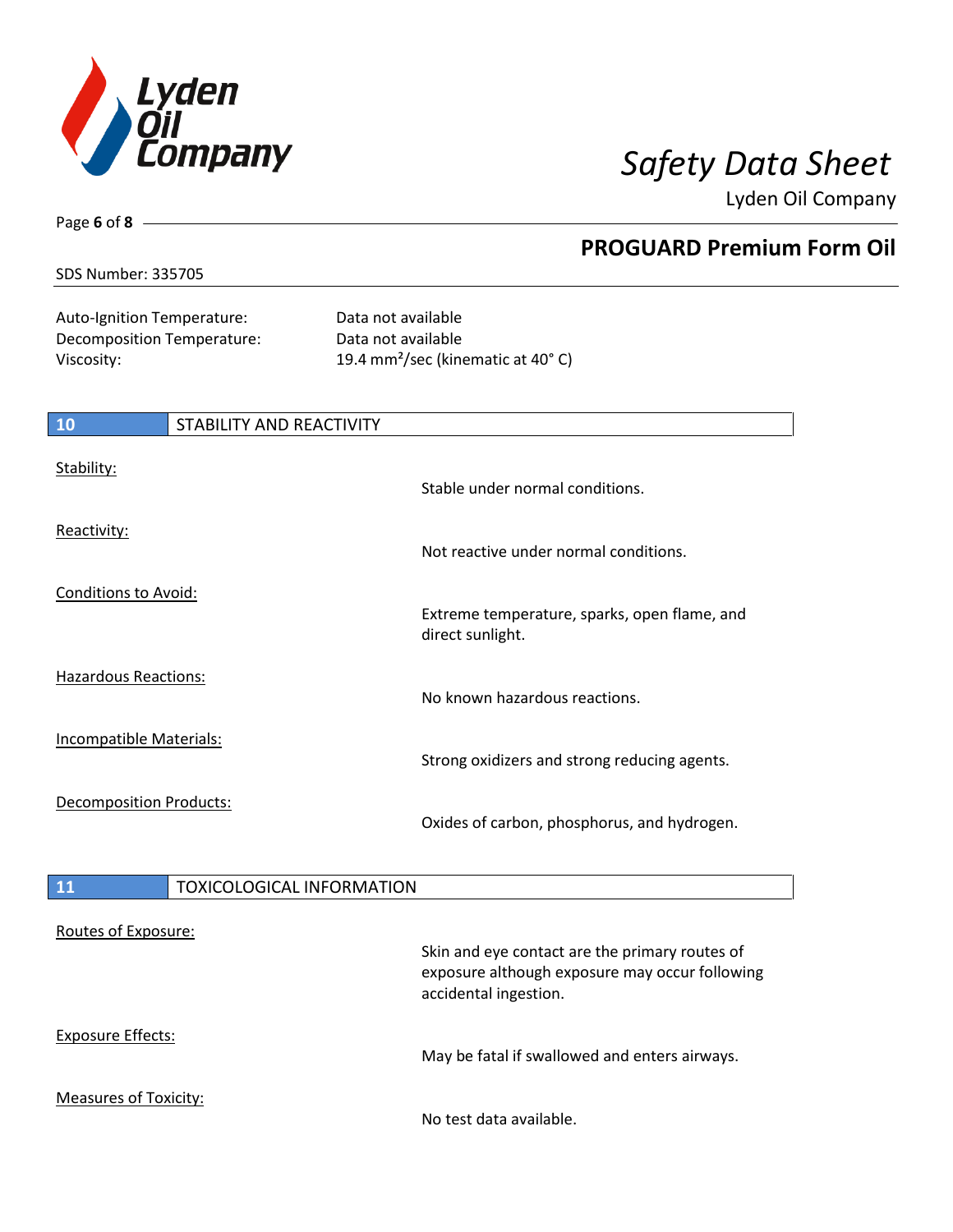

**PROGUARD Premium Form Oil**

Lyden Oil Company

### SDS Number: 335705

Page **6** of **8**

| Auto-Ignition Temperature: |
|----------------------------|
| Decomposition Temperature: |
| Viscosity:                 |

Data not available Data not available 19.4 mm<sup>2</sup>/sec (kinematic at 40°C)

| 10                             | STABILITY AND REACTIVITY |                                                                  |
|--------------------------------|--------------------------|------------------------------------------------------------------|
| Stability:                     |                          | Stable under normal conditions.                                  |
| Reactivity:                    |                          | Not reactive under normal conditions.                            |
| Conditions to Avoid:           |                          | Extreme temperature, sparks, open flame, and<br>direct sunlight. |
| <b>Hazardous Reactions:</b>    |                          | No known hazardous reactions.                                    |
| <b>Incompatible Materials:</b> |                          | Strong oxidizers and strong reducing agents.                     |
| <b>Decomposition Products:</b> |                          | Oxides of carbon, phosphorus, and hydrogen.                      |

## 11 | TOXICOLOGICAL INFORMATION

| Routes of Exposure:   | Skin and eye contact are the primary routes of<br>exposure although exposure may occur following<br>accidental ingestion. |
|-----------------------|---------------------------------------------------------------------------------------------------------------------------|
| Exposure Effects:     | May be fatal if swallowed and enters airways.                                                                             |
| Measures of Toxicity: | No test data available.                                                                                                   |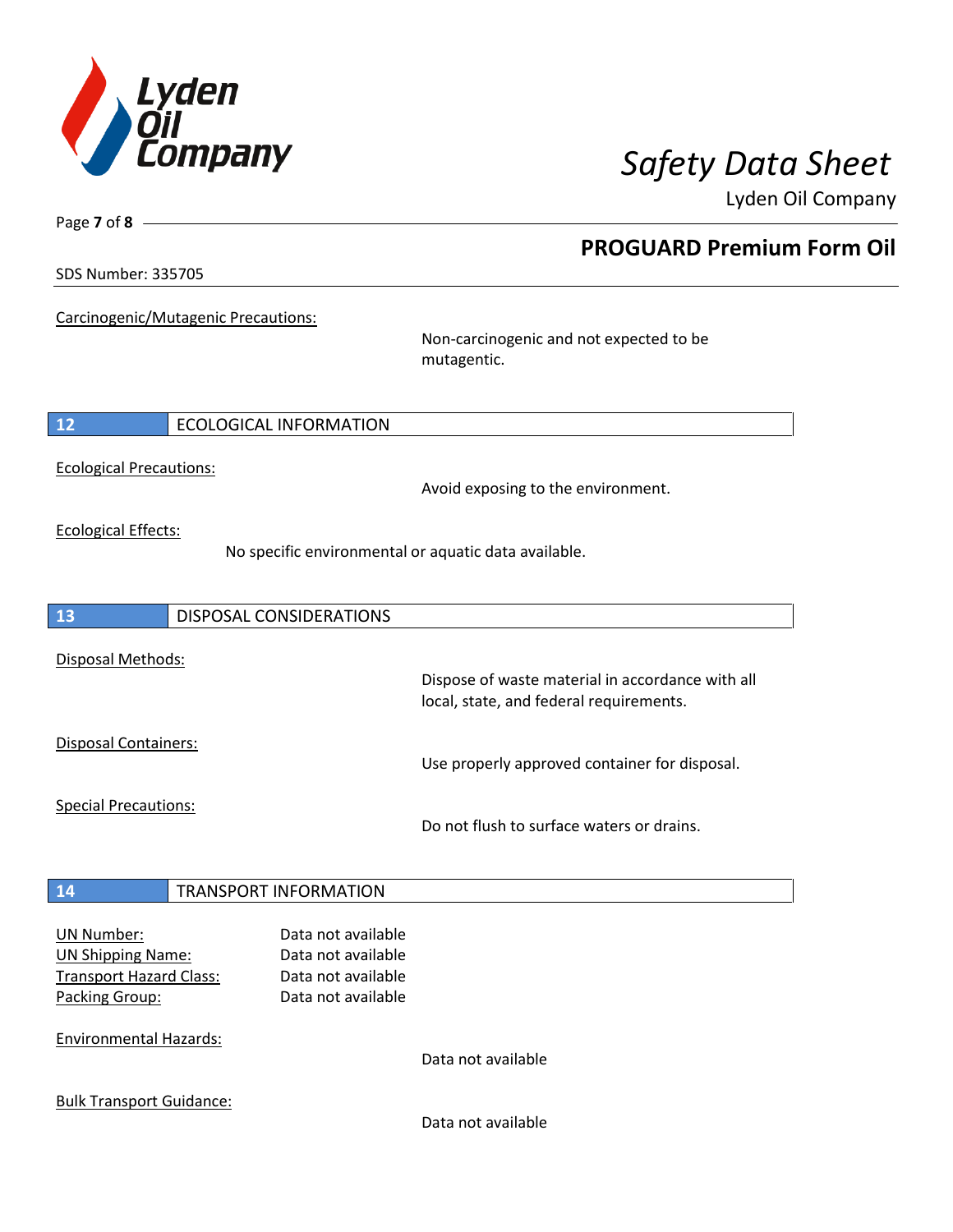

**PROGUARD Premium Form Oil**

Lyden Oil Company

SDS Number: 335705

Page **7** of **8**

Carcinogenic/Mutagenic Precautions:

Non-carcinogenic and not expected to be mutagentic.

**12** ECOLOGICAL INFORMATION

Ecological Precautions:

Avoid exposing to the environment.

Ecological Effects:

No specific environmental or aquatic data available.

**13** DISPOSAL CONSIDERATIONS Disposal Methods: Dispose of waste material in accordance with all local, state, and federal requirements. Disposal Containers: Use properly approved container for disposal. Special Precautions: Do not flush to surface waters or drains. **14** TRANSPORT INFORMATION UN Number: Data not available UN Shipping Name: Data not available Transport Hazard Class: Data not available Packing Group: Data not available

Environmental Hazards:

Data not available

Bulk Transport Guidance:

Data not available